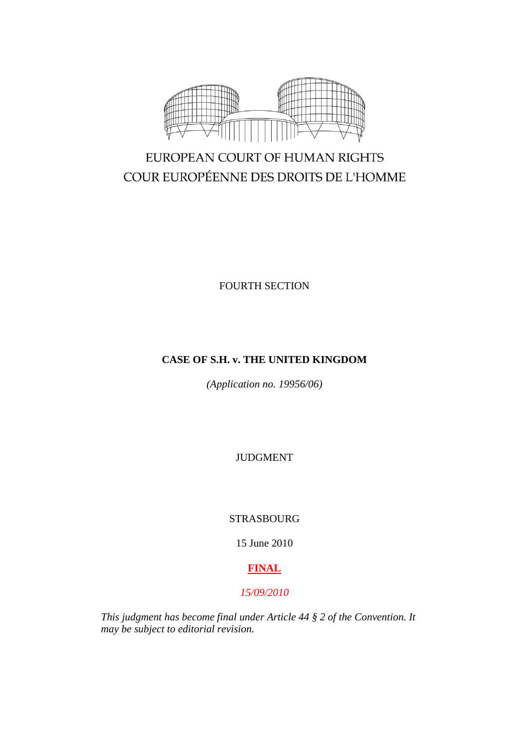

# EUROPEAN COURT OF HUMAN RIGHTS COUR EUROPÉENNE DES DROITS DE L'HOMME

FOURTH SECTION

# **CASE OF S.H. v. THE UNITED KINGDOM**

*(Application no. 19956/06)*

JUDGMENT

STRASBOURG

15 June 2010

# **FINAL**

# *15/09/2010*

*This judgment has become final under Article 44 § 2 of the Convention. It may be subject to editorial revision.*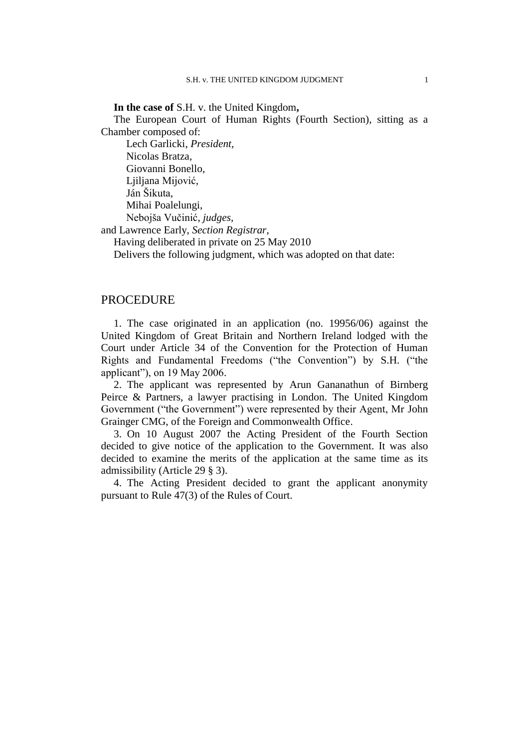**In the case of** S.H. v. the United Kingdom**,**

The European Court of Human Rights (Fourth Section), sitting as a Chamber composed of:

Lech Garlicki, *President,* Nicolas Bratza, Giovanni Bonello, Ljiljana Mijović, Ján Šikuta, Mihai Poalelungi, Nebojša Vučinić, *judges,* and Lawrence Early, *Section Registrar*, Having deliberated in private on 25 May 2010

Delivers the following judgment, which was adopted on that date:

### PROCEDURE

1. The case originated in an application (no. 19956/06) against the United Kingdom of Great Britain and Northern Ireland lodged with the Court under Article 34 of the Convention for the Protection of Human Rights and Fundamental Freedoms ("the Convention") by S.H. ("the applicant"), on 19 May 2006.

2. The applicant was represented by Arun Gananathun of Birnberg Peirce & Partners, a lawyer practising in London. The United Kingdom Government ("the Government") were represented by their Agent, Mr John Grainger CMG, of the Foreign and Commonwealth Office.

3. On 10 August 2007 the Acting President of the Fourth Section decided to give notice of the application to the Government. It was also decided to examine the merits of the application at the same time as its admissibility (Article 29 § 3).

4. The Acting President decided to grant the applicant anonymity pursuant to Rule 47(3) of the Rules of Court.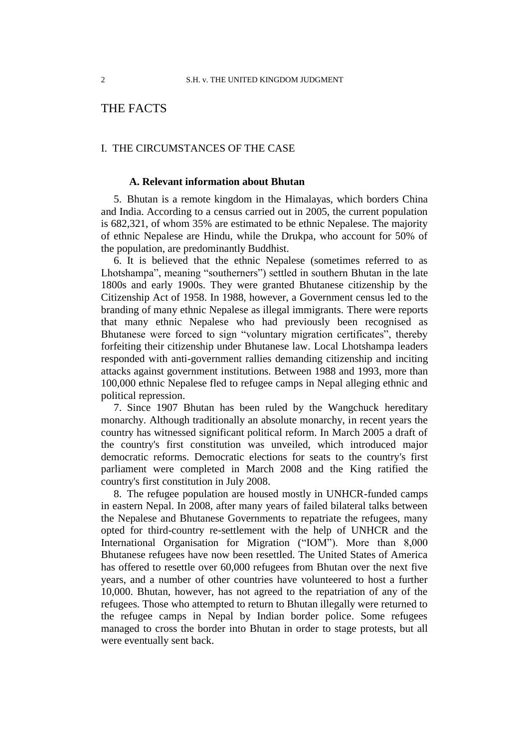# THE FACTS

#### I. THE CIRCUMSTANCES OF THE CASE

#### **A. Relevant information about Bhutan**

5. Bhutan is a remote kingdom in the Himalayas, which borders China and India. According to a census carried out in 2005, the current population is 682,321, of whom 35% are estimated to be ethnic Nepalese. The majority of ethnic Nepalese are Hindu, while the Drukpa, who account for 50% of the population, are predominantly Buddhist.

6. It is believed that the ethnic Nepalese (sometimes referred to as Lhotshampa", meaning "southerners") settled in southern Bhutan in the late 1800s and early 1900s. They were granted Bhutanese citizenship by the Citizenship Act of 1958. In 1988, however, a Government census led to the branding of many ethnic Nepalese as illegal immigrants. There were reports that many ethnic Nepalese who had previously been recognised as Bhutanese were forced to sign "voluntary migration certificates", thereby forfeiting their citizenship under Bhutanese law. Local Lhotshampa leaders responded with anti-government rallies demanding citizenship and inciting attacks against government institutions. Between 1988 and 1993, more than 100,000 ethnic Nepalese fled to refugee camps in Nepal alleging ethnic and political repression.

7. Since 1907 Bhutan has been ruled by the Wangchuck hereditary monarchy. Although traditionally an absolute monarchy, in recent years the country has witnessed significant political reform. In March 2005 a draft of the country's first constitution was unveiled, which introduced major democratic reforms. Democratic elections for seats to the country's first parliament were completed in March 2008 and the King ratified the country's first constitution in July 2008.

8. The refugee population are housed mostly in UNHCR-funded camps in eastern Nepal. In 2008, after many years of failed bilateral talks between the Nepalese and Bhutanese Governments to repatriate the refugees, many opted for third-country re-settlement with the help of UNHCR and the International Organisation for Migration ("IOM"). More than 8,000 Bhutanese refugees have now been resettled. The United States of America has offered to resettle over 60,000 refugees from Bhutan over the next five years, and a number of other countries have volunteered to host a further 10,000. Bhutan, however, has not agreed to the repatriation of any of the refugees. Those who attempted to return to Bhutan illegally were returned to the refugee camps in Nepal by Indian border police. Some refugees managed to cross the border into Bhutan in order to stage protests, but all were eventually sent back.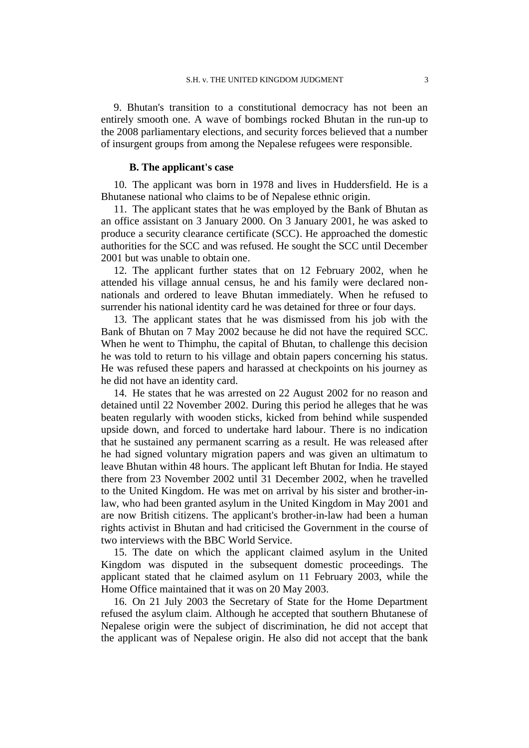9. Bhutan's transition to a constitutional democracy has not been an entirely smooth one. A wave of bombings rocked Bhutan in the run-up to the 2008 parliamentary elections, and security forces believed that a number of insurgent groups from among the Nepalese refugees were responsible.

#### **B. The applicant's case**

10. The applicant was born in 1978 and lives in Huddersfield. He is a Bhutanese national who claims to be of Nepalese ethnic origin.

11. The applicant states that he was employed by the Bank of Bhutan as an office assistant on 3 January 2000. On 3 January 2001, he was asked to produce a security clearance certificate (SCC). He approached the domestic authorities for the SCC and was refused. He sought the SCC until December 2001 but was unable to obtain one.

12. The applicant further states that on 12 February 2002, when he attended his village annual census, he and his family were declared nonnationals and ordered to leave Bhutan immediately. When he refused to surrender his national identity card he was detained for three or four days.

13. The applicant states that he was dismissed from his job with the Bank of Bhutan on 7 May 2002 because he did not have the required SCC. When he went to Thimphu, the capital of Bhutan, to challenge this decision he was told to return to his village and obtain papers concerning his status. He was refused these papers and harassed at checkpoints on his journey as he did not have an identity card.

14. He states that he was arrested on 22 August 2002 for no reason and detained until 22 November 2002. During this period he alleges that he was beaten regularly with wooden sticks, kicked from behind while suspended upside down, and forced to undertake hard labour. There is no indication that he sustained any permanent scarring as a result. He was released after he had signed voluntary migration papers and was given an ultimatum to leave Bhutan within 48 hours. The applicant left Bhutan for India. He stayed there from 23 November 2002 until 31 December 2002, when he travelled to the United Kingdom. He was met on arrival by his sister and brother-inlaw, who had been granted asylum in the United Kingdom in May 2001 and are now British citizens. The applicant's brother-in-law had been a human rights activist in Bhutan and had criticised the Government in the course of two interviews with the BBC World Service.

15. The date on which the applicant claimed asylum in the United Kingdom was disputed in the subsequent domestic proceedings. The applicant stated that he claimed asylum on 11 February 2003, while the Home Office maintained that it was on 20 May 2003.

16. On 21 July 2003 the Secretary of State for the Home Department refused the asylum claim. Although he accepted that southern Bhutanese of Nepalese origin were the subject of discrimination, he did not accept that the applicant was of Nepalese origin. He also did not accept that the bank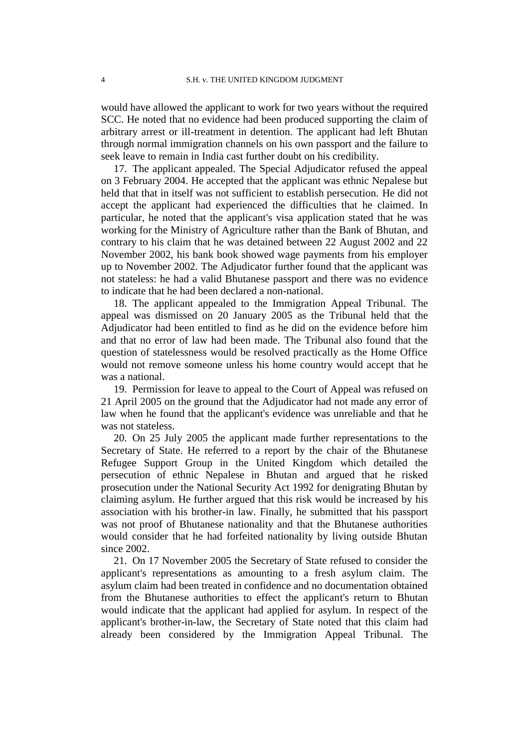would have allowed the applicant to work for two years without the required SCC. He noted that no evidence had been produced supporting the claim of arbitrary arrest or ill-treatment in detention. The applicant had left Bhutan through normal immigration channels on his own passport and the failure to seek leave to remain in India cast further doubt on his credibility.

17. The applicant appealed. The Special Adjudicator refused the appeal on 3 February 2004. He accepted that the applicant was ethnic Nepalese but held that that in itself was not sufficient to establish persecution. He did not accept the applicant had experienced the difficulties that he claimed. In particular, he noted that the applicant's visa application stated that he was working for the Ministry of Agriculture rather than the Bank of Bhutan, and contrary to his claim that he was detained between 22 August 2002 and 22 November 2002, his bank book showed wage payments from his employer up to November 2002. The Adjudicator further found that the applicant was not stateless: he had a valid Bhutanese passport and there was no evidence to indicate that he had been declared a non-national.

18. The applicant appealed to the Immigration Appeal Tribunal. The appeal was dismissed on 20 January 2005 as the Tribunal held that the Adjudicator had been entitled to find as he did on the evidence before him and that no error of law had been made. The Tribunal also found that the question of statelessness would be resolved practically as the Home Office would not remove someone unless his home country would accept that he was a national.

19. Permission for leave to appeal to the Court of Appeal was refused on 21 April 2005 on the ground that the Adjudicator had not made any error of law when he found that the applicant's evidence was unreliable and that he was not stateless.

20. On 25 July 2005 the applicant made further representations to the Secretary of State. He referred to a report by the chair of the Bhutanese Refugee Support Group in the United Kingdom which detailed the persecution of ethnic Nepalese in Bhutan and argued that he risked prosecution under the National Security Act 1992 for denigrating Bhutan by claiming asylum. He further argued that this risk would be increased by his association with his brother-in law. Finally, he submitted that his passport was not proof of Bhutanese nationality and that the Bhutanese authorities would consider that he had forfeited nationality by living outside Bhutan since 2002.

21. On 17 November 2005 the Secretary of State refused to consider the applicant's representations as amounting to a fresh asylum claim. The asylum claim had been treated in confidence and no documentation obtained from the Bhutanese authorities to effect the applicant's return to Bhutan would indicate that the applicant had applied for asylum. In respect of the applicant's brother-in-law, the Secretary of State noted that this claim had already been considered by the Immigration Appeal Tribunal. The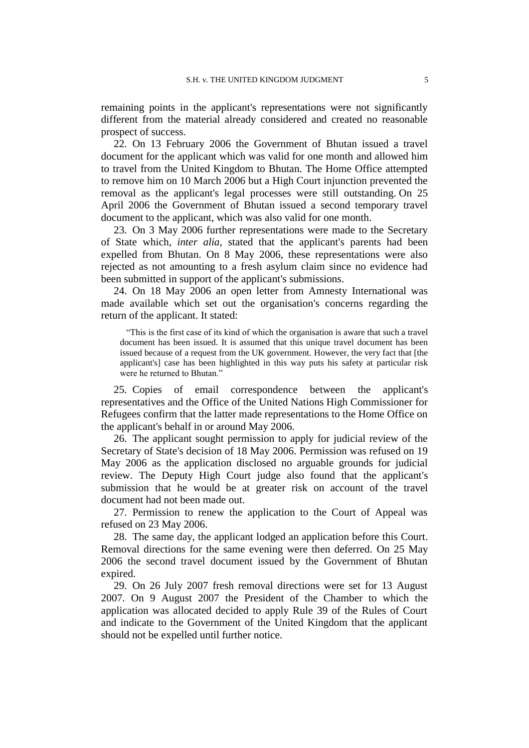remaining points in the applicant's representations were not significantly different from the material already considered and created no reasonable prospect of success.

22. On 13 February 2006 the Government of Bhutan issued a travel document for the applicant which was valid for one month and allowed him to travel from the United Kingdom to Bhutan. The Home Office attempted to remove him on 10 March 2006 but a High Court injunction prevented the removal as the applicant's legal processes were still outstanding. On 25 April 2006 the Government of Bhutan issued a second temporary travel document to the applicant, which was also valid for one month.

23. On 3 May 2006 further representations were made to the Secretary of State which, *inter alia*, stated that the applicant's parents had been expelled from Bhutan. On 8 May 2006, these representations were also rejected as not amounting to a fresh asylum claim since no evidence had been submitted in support of the applicant's submissions.

24. On 18 May 2006 an open letter from Amnesty International was made available which set out the organisation's concerns regarding the return of the applicant. It stated:

"This is the first case of its kind of which the organisation is aware that such a travel document has been issued. It is assumed that this unique travel document has been issued because of a request from the UK government. However, the very fact that [the applicant's] case has been highlighted in this way puts his safety at particular risk were he returned to Bhutan."

25. Copies of email correspondence between the applicant's representatives and the Office of the United Nations High Commissioner for Refugees confirm that the latter made representations to the Home Office on the applicant's behalf in or around May 2006.

26. The applicant sought permission to apply for judicial review of the Secretary of State's decision of 18 May 2006. Permission was refused on 19 May 2006 as the application disclosed no arguable grounds for judicial review. The Deputy High Court judge also found that the applicant's submission that he would be at greater risk on account of the travel document had not been made out.

27. Permission to renew the application to the Court of Appeal was refused on 23 May 2006.

28. The same day, the applicant lodged an application before this Court. Removal directions for the same evening were then deferred. On 25 May 2006 the second travel document issued by the Government of Bhutan expired.

29. On 26 July 2007 fresh removal directions were set for 13 August 2007. On 9 August 2007 the President of the Chamber to which the application was allocated decided to apply Rule 39 of the Rules of Court and indicate to the Government of the United Kingdom that the applicant should not be expelled until further notice.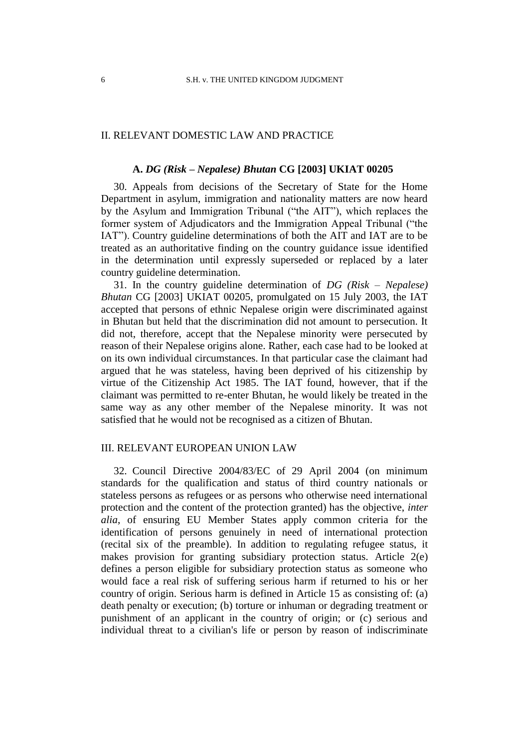### II. RELEVANT DOMESTIC LAW AND PRACTICE

#### **A.** *DG (Risk – Nepalese) Bhutan* **CG [2003] UKIAT 00205**

30. Appeals from decisions of the Secretary of State for the Home Department in asylum, immigration and nationality matters are now heard by the Asylum and Immigration Tribunal ("the AIT"), which replaces the former system of Adjudicators and the Immigration Appeal Tribunal ("the IAT"). Country guideline determinations of both the AIT and IAT are to be treated as an authoritative finding on the country guidance issue identified in the determination until expressly superseded or replaced by a later country guideline determination.

31. In the country guideline determination of *DG (Risk – Nepalese) Bhutan* CG [2003] UKIAT 00205, promulgated on 15 July 2003, the IAT accepted that persons of ethnic Nepalese origin were discriminated against in Bhutan but held that the discrimination did not amount to persecution. It did not, therefore, accept that the Nepalese minority were persecuted by reason of their Nepalese origins alone. Rather, each case had to be looked at on its own individual circumstances. In that particular case the claimant had argued that he was stateless, having been deprived of his citizenship by virtue of the Citizenship Act 1985. The IAT found, however, that if the claimant was permitted to re-enter Bhutan, he would likely be treated in the same way as any other member of the Nepalese minority. It was not satisfied that he would not be recognised as a citizen of Bhutan.

#### III. RELEVANT EUROPEAN UNION LAW

32. Council Directive 2004/83/EC of 29 April 2004 (on minimum standards for the qualification and status of third country nationals or stateless persons as refugees or as persons who otherwise need international protection and the content of the protection granted) has the objective, *inter alia*, of ensuring EU Member States apply common criteria for the identification of persons genuinely in need of international protection (recital six of the preamble). In addition to regulating refugee status, it makes provision for granting subsidiary protection status. Article 2(e) defines a person eligible for subsidiary protection status as someone who would face a real risk of suffering serious harm if returned to his or her country of origin. Serious harm is defined in Article 15 as consisting of: (a) death penalty or execution; (b) torture or inhuman or degrading treatment or punishment of an applicant in the country of origin; or (c) serious and individual threat to a civilian's life or person by reason of indiscriminate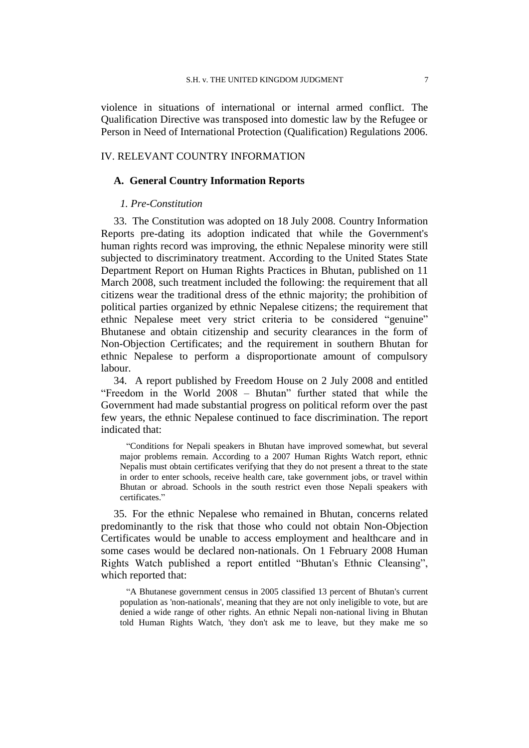violence in situations of international or internal armed conflict. The Qualification Directive was transposed into domestic law by the Refugee or Person in Need of International Protection (Qualification) Regulations 2006.

#### IV. RELEVANT COUNTRY INFORMATION

#### **A. General Country Information Reports**

#### *1. Pre-Constitution*

33. The Constitution was adopted on 18 July 2008. Country Information Reports pre-dating its adoption indicated that while the Government's human rights record was improving, the ethnic Nepalese minority were still subjected to discriminatory treatment. According to the United States State Department Report on Human Rights Practices in Bhutan, published on 11 March 2008, such treatment included the following: the requirement that all citizens wear the traditional dress of the ethnic majority; the prohibition of political parties organized by ethnic Nepalese citizens; the requirement that ethnic Nepalese meet very strict criteria to be considered "genuine" Bhutanese and obtain citizenship and security clearances in the form of Non-Objection Certificates; and the requirement in southern Bhutan for ethnic Nepalese to perform a disproportionate amount of compulsory labour.

34. A report published by Freedom House on 2 July 2008 and entitled "Freedom in the World 2008 – Bhutan" further stated that while the Government had made substantial progress on political reform over the past few years, the ethnic Nepalese continued to face discrimination. The report indicated that:

"Conditions for Nepali speakers in Bhutan have improved somewhat, but several major problems remain. According to a 2007 Human Rights Watch report, ethnic Nepalis must obtain certificates verifying that they do not present a threat to the state in order to enter schools, receive health care, take government jobs, or travel within Bhutan or abroad. Schools in the south restrict even those Nepali speakers with certificates."

35. For the ethnic Nepalese who remained in Bhutan, concerns related predominantly to the risk that those who could not obtain Non-Objection Certificates would be unable to access employment and healthcare and in some cases would be declared non-nationals. On 1 February 2008 Human Rights Watch published a report entitled "Bhutan's Ethnic Cleansing", which reported that:

"A Bhutanese government census in 2005 classified 13 percent of Bhutan's current population as 'non-nationals', meaning that they are not only ineligible to vote, but are denied a wide range of other rights. An ethnic Nepali non-national living in Bhutan told Human Rights Watch, 'they don't ask me to leave, but they make me so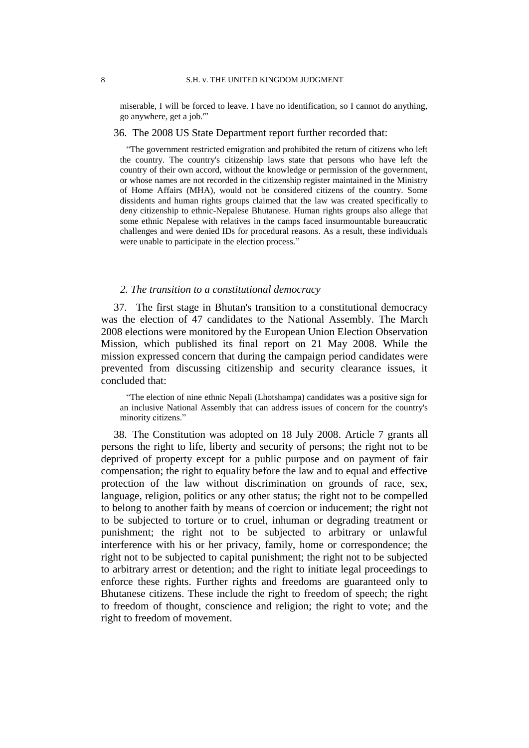miserable, I will be forced to leave. I have no identification, so I cannot do anything, go anywhere, get a job.'"

36. The 2008 US State Department report further recorded that:

"The government restricted emigration and prohibited the return of citizens who left the country. The country's citizenship laws state that persons who have left the country of their own accord, without the knowledge or permission of the government, or whose names are not recorded in the citizenship register maintained in the Ministry of Home Affairs (MHA), would not be considered citizens of the country. Some dissidents and human rights groups claimed that the law was created specifically to deny citizenship to ethnic-Nepalese Bhutanese. Human rights groups also allege that some ethnic Nepalese with relatives in the camps faced insurmountable bureaucratic challenges and were denied IDs for procedural reasons. As a result, these individuals were unable to participate in the election process."

#### *2. The transition to a constitutional democracy*

37. The first stage in Bhutan's transition to a constitutional democracy was the election of 47 candidates to the National Assembly. The March 2008 elections were monitored by the European Union Election Observation Mission, which published its final report on 21 May 2008. While the mission expressed concern that during the campaign period candidates were prevented from discussing citizenship and security clearance issues, it concluded that:

"The election of nine ethnic Nepali (Lhotshampa) candidates was a positive sign for an inclusive National Assembly that can address issues of concern for the country's minority citizens."

38. The Constitution was adopted on 18 July 2008. Article 7 grants all persons the right to life, liberty and security of persons; the right not to be deprived of property except for a public purpose and on payment of fair compensation; the right to equality before the law and to equal and effective protection of the law without discrimination on grounds of race, sex, language, religion, politics or any other status; the right not to be compelled to belong to another faith by means of coercion or inducement; the right not to be subjected to torture or to cruel, inhuman or degrading treatment or punishment; the right not to be subjected to arbitrary or unlawful interference with his or her privacy, family, home or correspondence; the right not to be subjected to capital punishment; the right not to be subjected to arbitrary arrest or detention; and the right to initiate legal proceedings to enforce these rights. Further rights and freedoms are guaranteed only to Bhutanese citizens. These include the right to freedom of speech; the right to freedom of thought, conscience and religion; the right to vote; and the right to freedom of movement.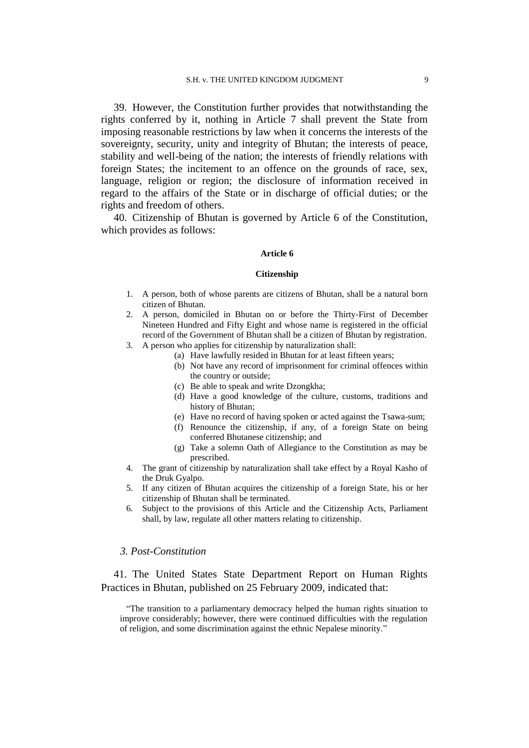39. However, the Constitution further provides that notwithstanding the rights conferred by it, nothing in Article 7 shall prevent the State from imposing reasonable restrictions by law when it concerns the interests of the sovereignty, security, unity and integrity of Bhutan; the interests of peace, stability and well-being of the nation; the interests of friendly relations with foreign States; the incitement to an offence on the grounds of race, sex, language, religion or region; the disclosure of information received in regard to the affairs of the State or in discharge of official duties; or the rights and freedom of others.

40. Citizenship of Bhutan is governed by Article 6 of the Constitution, which provides as follows:

#### **Article 6**

#### **Citizenship**

- 1. A person, both of whose parents are citizens of Bhutan, shall be a natural born citizen of Bhutan.
- 2. A person, domiciled in Bhutan on or before the Thirty-First of December Nineteen Hundred and Fifty Eight and whose name is registered in the official record of the Government of Bhutan shall be a citizen of Bhutan by registration.
- 3. A person who applies for citizenship by naturalization shall:
	- (a) Have lawfully resided in Bhutan for at least fifteen years;
	- (b) Not have any record of imprisonment for criminal offences within the country or outside;
	- (c) Be able to speak and write Dzongkha;
	- (d) Have a good knowledge of the culture, customs, traditions and history of Bhutan;
	- (e) Have no record of having spoken or acted against the Tsawa-sum;
	- (f) Renounce the citizenship, if any, of a foreign State on being conferred Bhutanese citizenship; and
	- (g) Take a solemn Oath of Allegiance to the Constitution as may be prescribed.
- 4. The grant of citizenship by naturalization shall take effect by a Royal Kasho of the Druk Gyalpo.
- 5. If any citizen of Bhutan acquires the citizenship of a foreign State, his or her citizenship of Bhutan shall be terminated.
- 6. Subject to the provisions of this Article and the Citizenship Acts, Parliament shall, by law, regulate all other matters relating to citizenship.

#### *3. Post-Constitution*

41. The United States State Department Report on Human Rights Practices in Bhutan, published on 25 February 2009, indicated that:

"The transition to a parliamentary democracy helped the human rights situation to improve considerably; however, there were continued difficulties with the regulation of religion, and some discrimination against the ethnic Nepalese minority."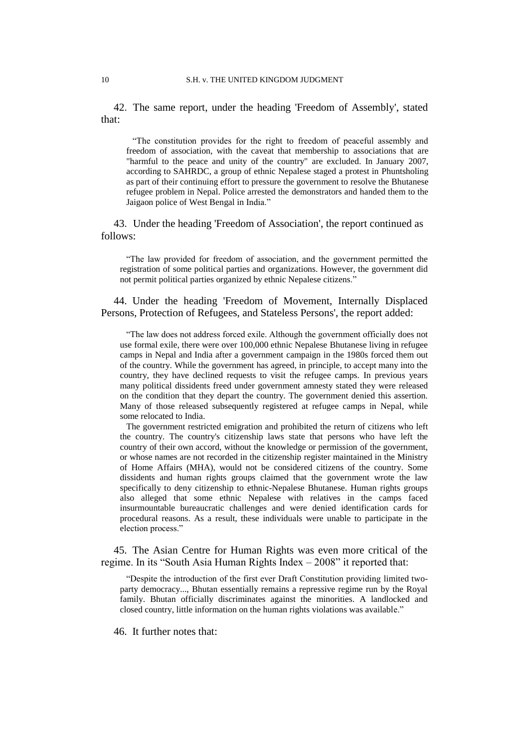42. The same report, under the heading 'Freedom of Assembly', stated that:

"The constitution provides for the right to freedom of peaceful assembly and freedom of association, with the caveat that membership to associations that are "harmful to the peace and unity of the country" are excluded. In January 2007, according to SAHRDC, a group of ethnic Nepalese staged a protest in Phuntsholing as part of their continuing effort to pressure the government to resolve the Bhutanese refugee problem in Nepal. Police arrested the demonstrators and handed them to the Jaigaon police of West Bengal in India."

43. Under the heading 'Freedom of Association', the report continued as follows:

"The law provided for freedom of association, and the government permitted the registration of some political parties and organizations. However, the government did not permit political parties organized by ethnic Nepalese citizens."

44. Under the heading 'Freedom of Movement, Internally Displaced Persons, Protection of Refugees, and Stateless Persons', the report added:

"The law does not address forced exile. Although the government officially does not use formal exile, there were over 100,000 ethnic Nepalese Bhutanese living in refugee camps in Nepal and India after a government campaign in the 1980s forced them out of the country. While the government has agreed, in principle, to accept many into the country, they have declined requests to visit the refugee camps. In previous years many political dissidents freed under government amnesty stated they were released on the condition that they depart the country. The government denied this assertion. Many of those released subsequently registered at refugee camps in Nepal, while some relocated to India.

The government restricted emigration and prohibited the return of citizens who left the country. The country's citizenship laws state that persons who have left the country of their own accord, without the knowledge or permission of the government, or whose names are not recorded in the citizenship register maintained in the Ministry of Home Affairs (MHA), would not be considered citizens of the country. Some dissidents and human rights groups claimed that the government wrote the law specifically to deny citizenship to ethnic-Nepalese Bhutanese. Human rights groups also alleged that some ethnic Nepalese with relatives in the camps faced insurmountable bureaucratic challenges and were denied identification cards for procedural reasons. As a result, these individuals were unable to participate in the election process."

45. The Asian Centre for Human Rights was even more critical of the regime. In its "South Asia Human Rights Index – 2008" it reported that:

"Despite the introduction of the first ever Draft Constitution providing limited twoparty democracy..., Bhutan essentially remains a repressive regime run by the Royal family. Bhutan officially discriminates against the minorities. A landlocked and closed country, little information on the human rights violations was available."

46. It further notes that: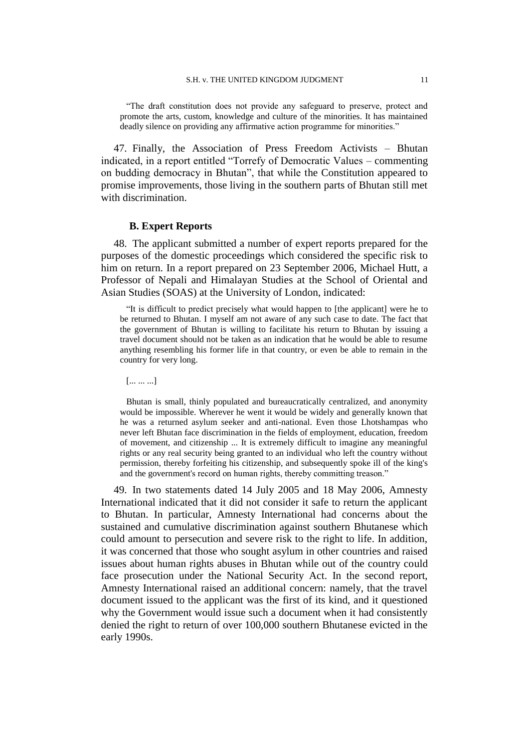"The draft constitution does not provide any safeguard to preserve, protect and promote the arts, custom, knowledge and culture of the minorities. It has maintained deadly silence on providing any affirmative action programme for minorities."

47. Finally, the Association of Press Freedom Activists – Bhutan indicated, in a report entitled "Torrefy of Democratic Values – commenting on budding democracy in Bhutan", that while the Constitution appeared to promise improvements, those living in the southern parts of Bhutan still met with discrimination.

#### **B. Expert Reports**

48. The applicant submitted a number of expert reports prepared for the purposes of the domestic proceedings which considered the specific risk to him on return. In a report prepared on 23 September 2006, Michael Hutt, a Professor of Nepali and Himalayan Studies at the School of Oriental and Asian Studies (SOAS) at the University of London, indicated:

"It is difficult to predict precisely what would happen to [the applicant] were he to be returned to Bhutan. I myself am not aware of any such case to date. The fact that the government of Bhutan is willing to facilitate his return to Bhutan by issuing a travel document should not be taken as an indication that he would be able to resume anything resembling his former life in that country, or even be able to remain in the country for very long.

[... ... ...]

Bhutan is small, thinly populated and bureaucratically centralized, and anonymity would be impossible. Wherever he went it would be widely and generally known that he was a returned asylum seeker and anti-national. Even those Lhotshampas who never left Bhutan face discrimination in the fields of employment, education, freedom of movement, and citizenship ... It is extremely difficult to imagine any meaningful rights or any real security being granted to an individual who left the country without permission, thereby forfeiting his citizenship, and subsequently spoke ill of the king's and the government's record on human rights, thereby committing treason."

49. In two statements dated 14 July 2005 and 18 May 2006, Amnesty International indicated that it did not consider it safe to return the applicant to Bhutan. In particular, Amnesty International had concerns about the sustained and cumulative discrimination against southern Bhutanese which could amount to persecution and severe risk to the right to life. In addition, it was concerned that those who sought asylum in other countries and raised issues about human rights abuses in Bhutan while out of the country could face prosecution under the National Security Act. In the second report, Amnesty International raised an additional concern: namely, that the travel document issued to the applicant was the first of its kind, and it questioned why the Government would issue such a document when it had consistently denied the right to return of over 100,000 southern Bhutanese evicted in the early 1990s.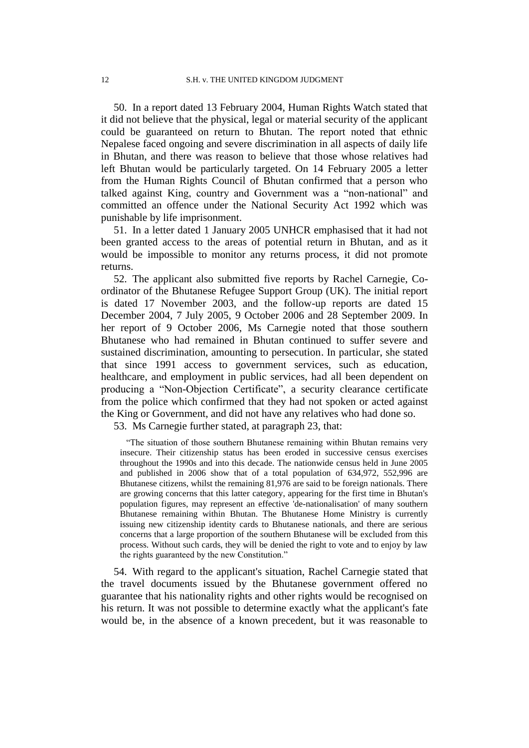50. In a report dated 13 February 2004, Human Rights Watch stated that it did not believe that the physical, legal or material security of the applicant could be guaranteed on return to Bhutan. The report noted that ethnic Nepalese faced ongoing and severe discrimination in all aspects of daily life in Bhutan, and there was reason to believe that those whose relatives had left Bhutan would be particularly targeted. On 14 February 2005 a letter from the Human Rights Council of Bhutan confirmed that a person who talked against King, country and Government was a "non-national" and committed an offence under the National Security Act 1992 which was punishable by life imprisonment.

51. In a letter dated 1 January 2005 UNHCR emphasised that it had not been granted access to the areas of potential return in Bhutan, and as it would be impossible to monitor any returns process, it did not promote returns.

52. The applicant also submitted five reports by Rachel Carnegie, Coordinator of the Bhutanese Refugee Support Group (UK). The initial report is dated 17 November 2003, and the follow-up reports are dated 15 December 2004, 7 July 2005, 9 October 2006 and 28 September 2009. In her report of 9 October 2006, Ms Carnegie noted that those southern Bhutanese who had remained in Bhutan continued to suffer severe and sustained discrimination, amounting to persecution. In particular, she stated that since 1991 access to government services, such as education, healthcare, and employment in public services, had all been dependent on producing a "Non-Objection Certificate", a security clearance certificate from the police which confirmed that they had not spoken or acted against the King or Government, and did not have any relatives who had done so.

53. Ms Carnegie further stated, at paragraph 23, that:

"The situation of those southern Bhutanese remaining within Bhutan remains very insecure. Their citizenship status has been eroded in successive census exercises throughout the 1990s and into this decade. The nationwide census held in June 2005 and published in 2006 show that of a total population of 634,972, 552,996 are Bhutanese citizens, whilst the remaining 81,976 are said to be foreign nationals. There are growing concerns that this latter category, appearing for the first time in Bhutan's population figures, may represent an effective 'de-nationalisation' of many southern Bhutanese remaining within Bhutan. The Bhutanese Home Ministry is currently issuing new citizenship identity cards to Bhutanese nationals, and there are serious concerns that a large proportion of the southern Bhutanese will be excluded from this process. Without such cards, they will be denied the right to vote and to enjoy by law the rights guaranteed by the new Constitution."

54. With regard to the applicant's situation, Rachel Carnegie stated that the travel documents issued by the Bhutanese government offered no guarantee that his nationality rights and other rights would be recognised on his return. It was not possible to determine exactly what the applicant's fate would be, in the absence of a known precedent, but it was reasonable to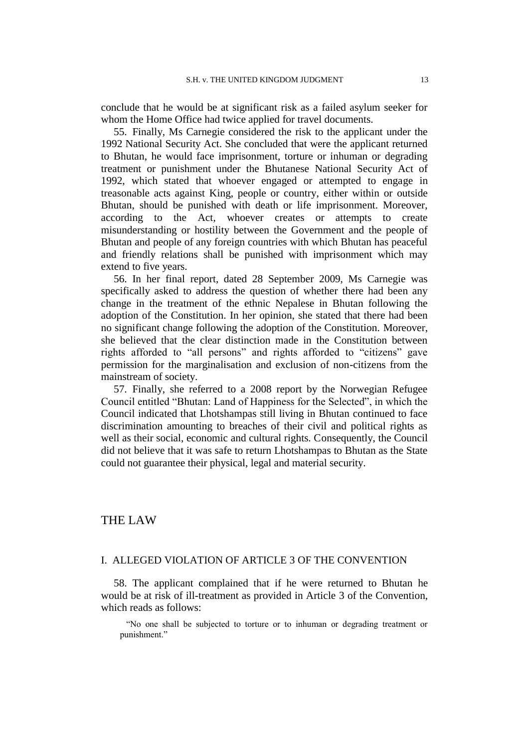conclude that he would be at significant risk as a failed asylum seeker for whom the Home Office had twice applied for travel documents.

55. Finally, Ms Carnegie considered the risk to the applicant under the 1992 National Security Act. She concluded that were the applicant returned to Bhutan, he would face imprisonment, torture or inhuman or degrading treatment or punishment under the Bhutanese National Security Act of 1992, which stated that whoever engaged or attempted to engage in treasonable acts against King, people or country, either within or outside Bhutan, should be punished with death or life imprisonment. Moreover, according to the Act, whoever creates or attempts to create misunderstanding or hostility between the Government and the people of Bhutan and people of any foreign countries with which Bhutan has peaceful and friendly relations shall be punished with imprisonment which may extend to five years.

56. In her final report, dated 28 September 2009, Ms Carnegie was specifically asked to address the question of whether there had been any change in the treatment of the ethnic Nepalese in Bhutan following the adoption of the Constitution. In her opinion, she stated that there had been no significant change following the adoption of the Constitution. Moreover, she believed that the clear distinction made in the Constitution between rights afforded to "all persons" and rights afforded to "citizens" gave permission for the marginalisation and exclusion of non-citizens from the mainstream of society.

57. Finally, she referred to a 2008 report by the Norwegian Refugee Council entitled "Bhutan: Land of Happiness for the Selected", in which the Council indicated that Lhotshampas still living in Bhutan continued to face discrimination amounting to breaches of their civil and political rights as well as their social, economic and cultural rights. Consequently, the Council did not believe that it was safe to return Lhotshampas to Bhutan as the State could not guarantee their physical, legal and material security.

# THE LAW

### I. ALLEGED VIOLATION OF ARTICLE 3 OF THE CONVENTION

58. The applicant complained that if he were returned to Bhutan he would be at risk of ill-treatment as provided in Article 3 of the Convention, which reads as follows:

"No one shall be subjected to torture or to inhuman or degrading treatment or punishment."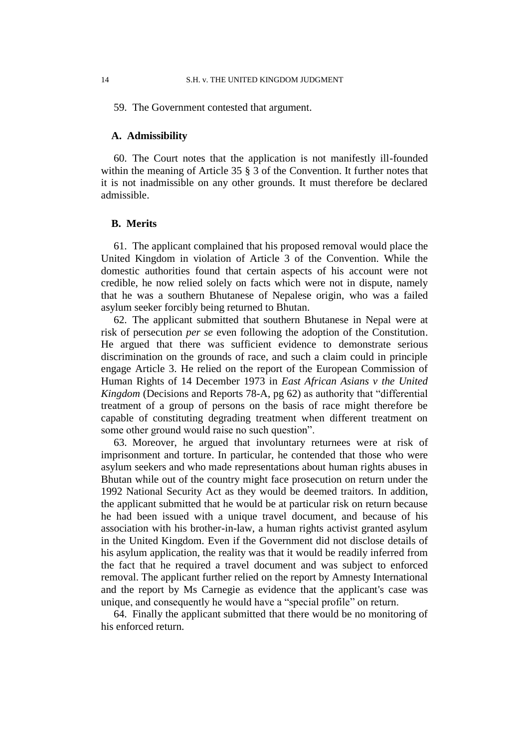59. The Government contested that argument.

#### **A. Admissibility**

60. The Court notes that the application is not manifestly ill-founded within the meaning of Article 35  $\S$  3 of the Convention. It further notes that it is not inadmissible on any other grounds. It must therefore be declared admissible.

### **B. Merits**

61. The applicant complained that his proposed removal would place the United Kingdom in violation of Article 3 of the Convention. While the domestic authorities found that certain aspects of his account were not credible, he now relied solely on facts which were not in dispute, namely that he was a southern Bhutanese of Nepalese origin, who was a failed asylum seeker forcibly being returned to Bhutan.

62. The applicant submitted that southern Bhutanese in Nepal were at risk of persecution *per se* even following the adoption of the Constitution. He argued that there was sufficient evidence to demonstrate serious discrimination on the grounds of race, and such a claim could in principle engage Article 3. He relied on the report of the European Commission of Human Rights of 14 December 1973 in *East African Asians v the United Kingdom* (Decisions and Reports 78-A, pg 62) as authority that "differential treatment of a group of persons on the basis of race might therefore be capable of constituting degrading treatment when different treatment on some other ground would raise no such question".

63. Moreover, he argued that involuntary returnees were at risk of imprisonment and torture. In particular, he contended that those who were asylum seekers and who made representations about human rights abuses in Bhutan while out of the country might face prosecution on return under the 1992 National Security Act as they would be deemed traitors. In addition, the applicant submitted that he would be at particular risk on return because he had been issued with a unique travel document, and because of his association with his brother-in-law, a human rights activist granted asylum in the United Kingdom. Even if the Government did not disclose details of his asylum application, the reality was that it would be readily inferred from the fact that he required a travel document and was subject to enforced removal. The applicant further relied on the report by Amnesty International and the report by Ms Carnegie as evidence that the applicant's case was unique, and consequently he would have a "special profile" on return.

64. Finally the applicant submitted that there would be no monitoring of his enforced return.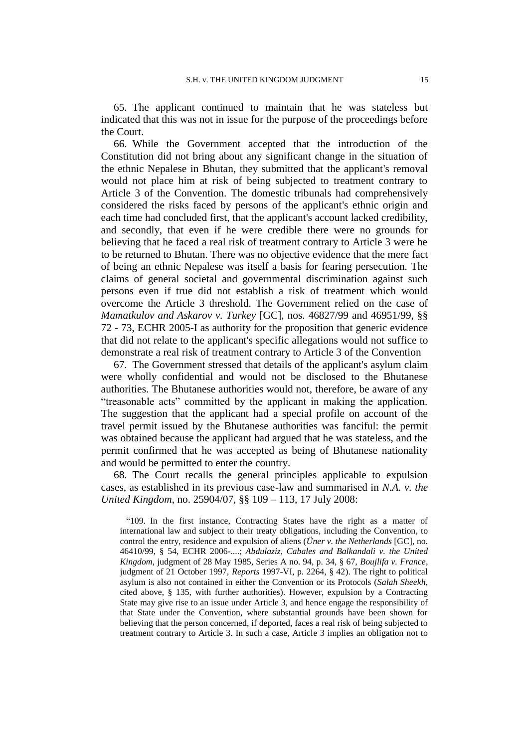65. The applicant continued to maintain that he was stateless but indicated that this was not in issue for the purpose of the proceedings before the Court.

66. While the Government accepted that the introduction of the Constitution did not bring about any significant change in the situation of the ethnic Nepalese in Bhutan, they submitted that the applicant's removal would not place him at risk of being subjected to treatment contrary to Article 3 of the Convention. The domestic tribunals had comprehensively considered the risks faced by persons of the applicant's ethnic origin and each time had concluded first, that the applicant's account lacked credibility, and secondly, that even if he were credible there were no grounds for believing that he faced a real risk of treatment contrary to Article 3 were he to be returned to Bhutan. There was no objective evidence that the mere fact of being an ethnic Nepalese was itself a basis for fearing persecution. The claims of general societal and governmental discrimination against such persons even if true did not establish a risk of treatment which would overcome the Article 3 threshold. The Government relied on the case of *Mamatkulov and Askarov v. Turkey* [GC], nos. 46827/99 and 46951/99, §§ 72 - 73, ECHR 2005-I as authority for the proposition that generic evidence that did not relate to the applicant's specific allegations would not suffice to demonstrate a real risk of treatment contrary to Article 3 of the Convention

67. The Government stressed that details of the applicant's asylum claim were wholly confidential and would not be disclosed to the Bhutanese authorities. The Bhutanese authorities would not, therefore, be aware of any "treasonable acts" committed by the applicant in making the application. The suggestion that the applicant had a special profile on account of the travel permit issued by the Bhutanese authorities was fanciful: the permit was obtained because the applicant had argued that he was stateless, and the permit confirmed that he was accepted as being of Bhutanese nationality and would be permitted to enter the country.

68. The Court recalls the general principles applicable to expulsion cases, as established in its previous case-law and summarised in *N.A. v. the United Kingdom*, no. 25904/07, §§ 109 – 113, 17 July 2008:

"109. In the first instance, Contracting States have the right as a matter of international law and subject to their treaty obligations, including the Convention, to control the entry, residence and expulsion of aliens (*Üner v. the Netherlands* [GC], no. 46410/99, § 54, ECHR 2006-....; *Abdulaziz, Cabales and Balkandali v. the United Kingdom*, judgment of 28 May 1985, Series A no. 94, p. 34, § 67, *Boujlifa v. France*, judgment of 21 October 1997, *Reports* 1997-VI, p. 2264, § 42). The right to political asylum is also not contained in either the Convention or its Protocols (*Salah Sheekh*, cited above, § 135, with further authorities). However, expulsion by a Contracting State may give rise to an issue under Article 3, and hence engage the responsibility of that State under the Convention, where substantial grounds have been shown for believing that the person concerned, if deported, faces a real risk of being subjected to treatment contrary to Article 3. In such a case, Article 3 implies an obligation not to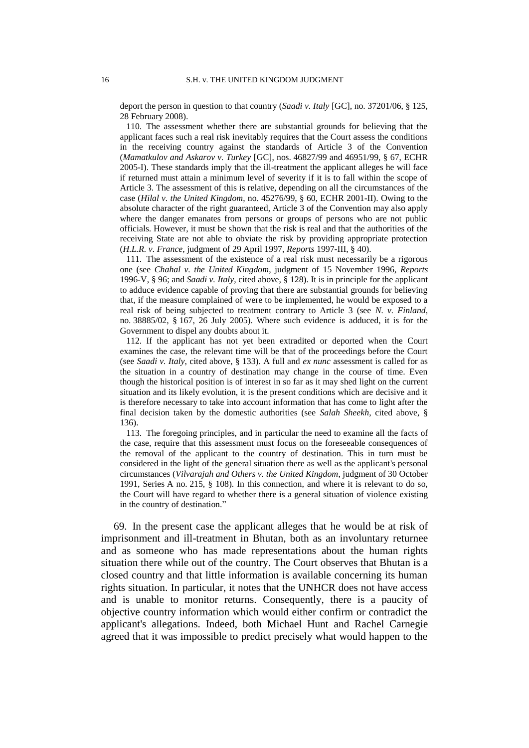deport the person in question to that country (*Saadi v. Italy* [GC], no. 37201/06, § 125, 28 February 2008).

110. The assessment whether there are substantial grounds for believing that the applicant faces such a real risk inevitably requires that the Court assess the conditions in the receiving country against the standards of Article 3 of the Convention (*Mamatkulov and Askarov v. Turkey* [GC], nos. 46827/99 and 46951/99, § 67, ECHR 2005-I). These standards imply that the ill-treatment the applicant alleges he will face if returned must attain a minimum level of severity if it is to fall within the scope of Article 3. The assessment of this is relative, depending on all the circumstances of the case (*Hilal v. the United Kingdom*, no. 45276/99, § 60, ECHR 2001-II). Owing to the absolute character of the right guaranteed, Article 3 of the Convention may also apply where the danger emanates from persons or groups of persons who are not public officials. However, it must be shown that the risk is real and that the authorities of the receiving State are not able to obviate the risk by providing appropriate protection (*H.L.R. v. France*, judgment of 29 April 1997, *Reports* 1997-III, § 40).

111. The assessment of the existence of a real risk must necessarily be a rigorous one (see *Chahal v. the United Kingdom*, judgment of 15 November 1996, *Reports*  1996-V, § 96; and *Saadi v. Italy*, cited above, § 128). It is in principle for the applicant to adduce evidence capable of proving that there are substantial grounds for believing that, if the measure complained of were to be implemented, he would be exposed to a real risk of being subjected to treatment contrary to Article 3 (see *N. v. Finland*, no. 38885/02, § 167, 26 July 2005). Where such evidence is adduced, it is for the Government to dispel any doubts about it.

112. If the applicant has not yet been extradited or deported when the Court examines the case, the relevant time will be that of the proceedings before the Court (see *Saadi v. Italy*, cited above, § 133). A full and *ex nunc* assessment is called for as the situation in a country of destination may change in the course of time. Even though the historical position is of interest in so far as it may shed light on the current situation and its likely evolution, it is the present conditions which are decisive and it is therefore necessary to take into account information that has come to light after the final decision taken by the domestic authorities (see *Salah Sheekh*, cited above, § 136).

113. The foregoing principles, and in particular the need to examine all the facts of the case, require that this assessment must focus on the foreseeable consequences of the removal of the applicant to the country of destination. This in turn must be considered in the light of the general situation there as well as the applicant's personal circumstances (*Vilvarajah and Others v. the United Kingdom*, judgment of 30 October 1991, Series A no. 215, § 108). In this connection, and where it is relevant to do so, the Court will have regard to whether there is a general situation of violence existing in the country of destination."

69. In the present case the applicant alleges that he would be at risk of imprisonment and ill-treatment in Bhutan, both as an involuntary returnee and as someone who has made representations about the human rights situation there while out of the country. The Court observes that Bhutan is a closed country and that little information is available concerning its human rights situation. In particular, it notes that the UNHCR does not have access and is unable to monitor returns. Consequently, there is a paucity of objective country information which would either confirm or contradict the applicant's allegations. Indeed, both Michael Hunt and Rachel Carnegie agreed that it was impossible to predict precisely what would happen to the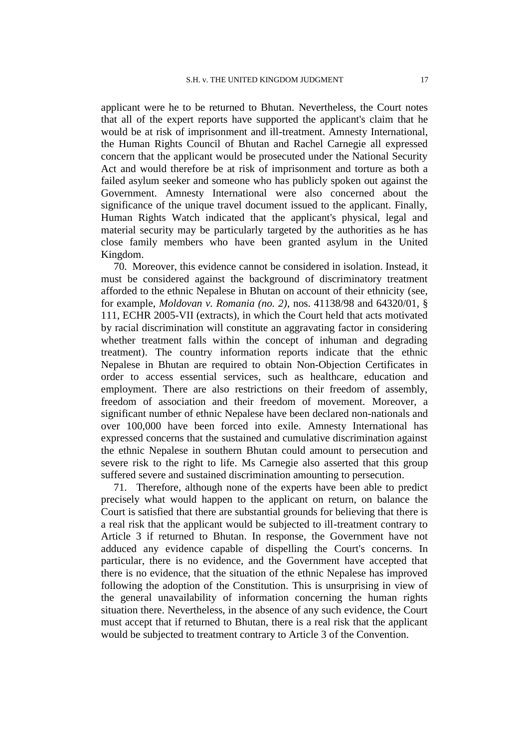applicant were he to be returned to Bhutan. Nevertheless, the Court notes that all of the expert reports have supported the applicant's claim that he would be at risk of imprisonment and ill-treatment. Amnesty International, the Human Rights Council of Bhutan and Rachel Carnegie all expressed concern that the applicant would be prosecuted under the National Security Act and would therefore be at risk of imprisonment and torture as both a failed asylum seeker and someone who has publicly spoken out against the Government. Amnesty International were also concerned about the significance of the unique travel document issued to the applicant. Finally, Human Rights Watch indicated that the applicant's physical, legal and material security may be particularly targeted by the authorities as he has close family members who have been granted asylum in the United Kingdom.

70. Moreover, this evidence cannot be considered in isolation. Instead, it must be considered against the background of discriminatory treatment afforded to the ethnic Nepalese in Bhutan on account of their ethnicity (see, for example, *Moldovan v. Romania (no. 2)*, nos. 41138/98 and 64320/01, § 111, ECHR 2005-VII (extracts), in which the Court held that acts motivated by racial discrimination will constitute an aggravating factor in considering whether treatment falls within the concept of inhuman and degrading treatment). The country information reports indicate that the ethnic Nepalese in Bhutan are required to obtain Non-Objection Certificates in order to access essential services, such as healthcare, education and employment. There are also restrictions on their freedom of assembly, freedom of association and their freedom of movement. Moreover, a significant number of ethnic Nepalese have been declared non-nationals and over 100,000 have been forced into exile. Amnesty International has expressed concerns that the sustained and cumulative discrimination against the ethnic Nepalese in southern Bhutan could amount to persecution and severe risk to the right to life. Ms Carnegie also asserted that this group suffered severe and sustained discrimination amounting to persecution.

71. Therefore, although none of the experts have been able to predict precisely what would happen to the applicant on return, on balance the Court is satisfied that there are substantial grounds for believing that there is a real risk that the applicant would be subjected to ill-treatment contrary to Article 3 if returned to Bhutan. In response, the Government have not adduced any evidence capable of dispelling the Court's concerns. In particular, there is no evidence, and the Government have accepted that there is no evidence, that the situation of the ethnic Nepalese has improved following the adoption of the Constitution. This is unsurprising in view of the general unavailability of information concerning the human rights situation there. Nevertheless, in the absence of any such evidence, the Court must accept that if returned to Bhutan, there is a real risk that the applicant would be subjected to treatment contrary to Article 3 of the Convention.